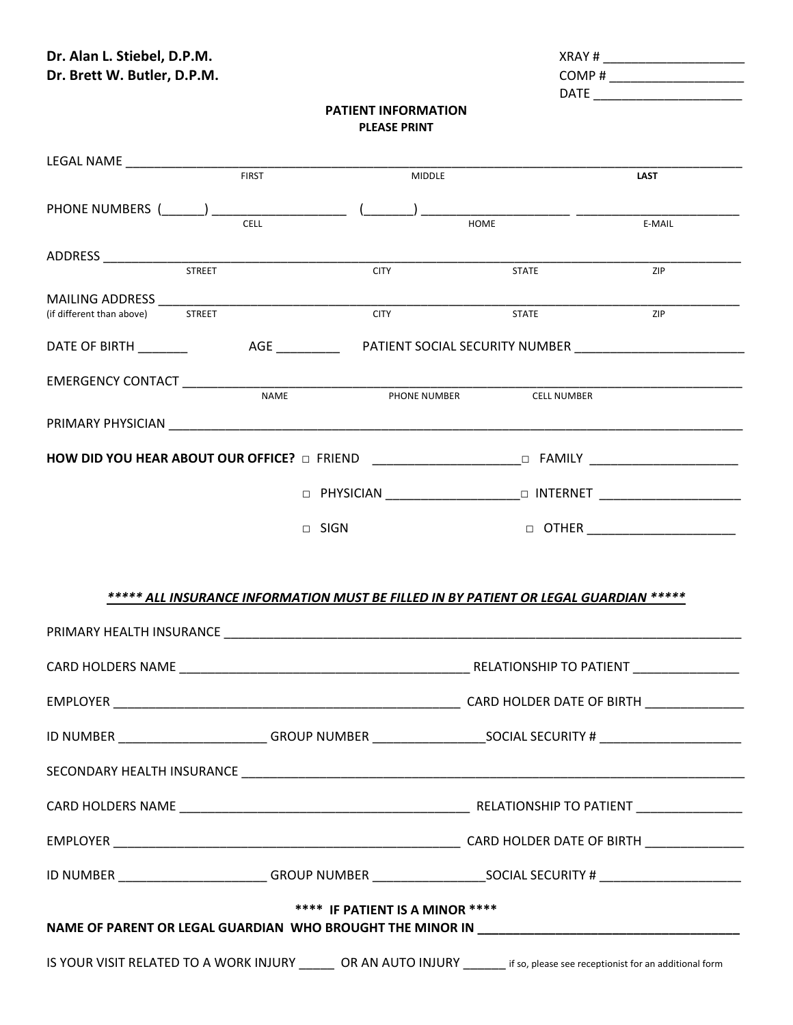## Dr. Alan L. Stiebel, D.P.M. Dr. Brett W. Butler, D.P.M.

| XRAY#       |  |
|-------------|--|
| COMP#       |  |
| <b>DATE</b> |  |

## **PATIENT INFORMATION PLEASE PRINT**

| LEGAL NAME ____________________________                                                                                        |              |               |                                                                                      |                                   |
|--------------------------------------------------------------------------------------------------------------------------------|--------------|---------------|--------------------------------------------------------------------------------------|-----------------------------------|
|                                                                                                                                | <b>FIRST</b> | <b>MIDDLE</b> |                                                                                      | <b>LAST</b>                       |
|                                                                                                                                |              |               |                                                                                      |                                   |
|                                                                                                                                | <b>CELL</b>  |               | <b>HOME</b>                                                                          | E-MAIL                            |
|                                                                                                                                |              |               |                                                                                      |                                   |
| <b>STRFFT</b>                                                                                                                  |              | <b>CITY</b>   | <b>STATE</b>                                                                         | <b>ZIP</b>                        |
| (if different than above) STREET                                                                                               |              | <b>CITY</b>   | <b>STATE</b>                                                                         | ZIP                               |
|                                                                                                                                |              |               |                                                                                      |                                   |
| DATE OF BIRTH _________    AGE ___________  PATIENT SOCIAL SECURITY NUMBER _________________________                           |              |               |                                                                                      |                                   |
|                                                                                                                                | <b>NAME</b>  |               |                                                                                      |                                   |
|                                                                                                                                |              | PHONE NUMBER  | <b>CELL NUMBER</b>                                                                   |                                   |
|                                                                                                                                |              |               |                                                                                      |                                   |
| HOW DID YOU HEAR ABOUT OUR OFFICE? □ FRIEND _____________________□ FAMILY _________________________                            |              |               |                                                                                      |                                   |
|                                                                                                                                |              |               |                                                                                      |                                   |
|                                                                                                                                | $\Box$ SIGN  |               |                                                                                      | □ OTHER _________________________ |
|                                                                                                                                |              |               |                                                                                      |                                   |
|                                                                                                                                |              |               |                                                                                      |                                   |
|                                                                                                                                |              |               | ***** ALL INSURANCE INFORMATION MUST BE FILLED IN BY PATIENT OR LEGAL GUARDIAN ***** |                                   |
|                                                                                                                                |              |               |                                                                                      |                                   |
| CARD HOLDERS NAME THE RELATIONSHIP TO PATIENT THE RELATIONSHIP OF PATIENT                                                      |              |               |                                                                                      |                                   |
|                                                                                                                                |              |               |                                                                                      |                                   |
| ID NUMBER _______________________GROUP NUMBER __________________SOCIAL SECURITY # ________________________                     |              |               |                                                                                      |                                   |
|                                                                                                                                |              |               |                                                                                      |                                   |
|                                                                                                                                |              |               |                                                                                      |                                   |
|                                                                                                                                |              |               |                                                                                      |                                   |
| ID NUMBER ________________________GROUP NUMBER __________________SOCIAL SECURITY # _______________________                     |              |               |                                                                                      |                                   |
| **** IF PATIENT IS A MINOR ****                                                                                                |              |               |                                                                                      |                                   |
|                                                                                                                                |              |               |                                                                                      |                                   |
| IS YOUR VISIT RELATED TO A WORK INJURY _______ OR AN AUTO INJURY _______ if so, please see receptionist for an additional form |              |               |                                                                                      |                                   |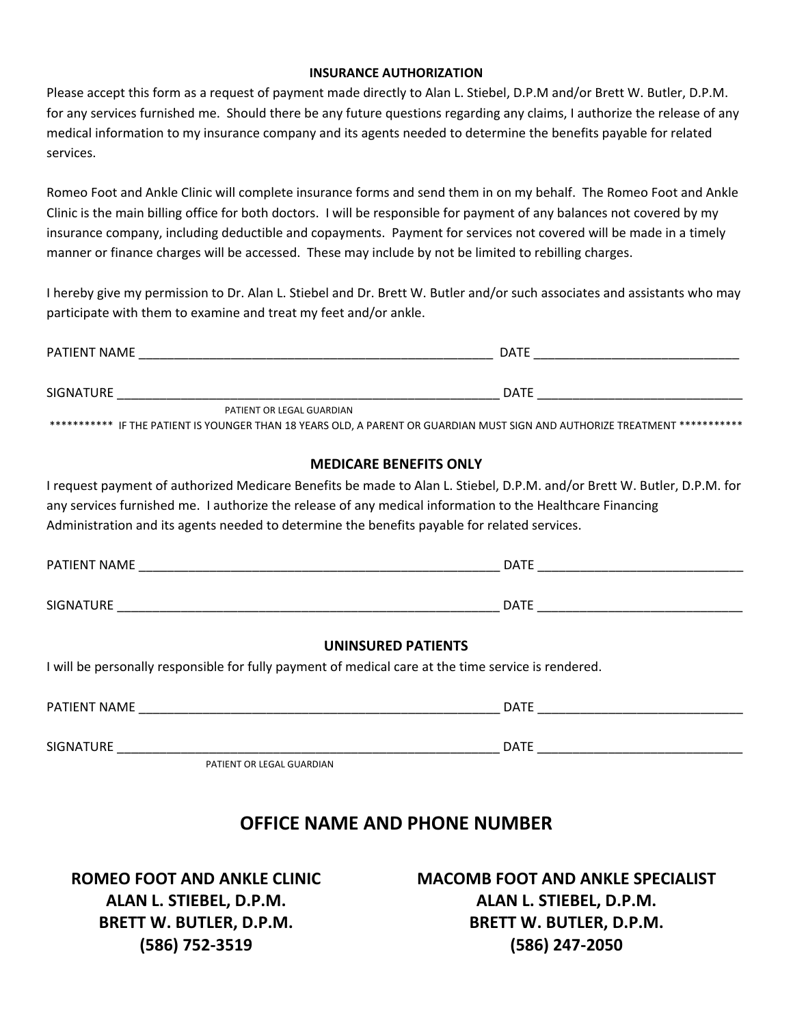#### **INSURANCE AUTHORIZATION**

Please accept this form as a request of payment made directly to Alan L. Stiebel, D.P.M and/or Brett W. Butler, D.P.M. for any services furnished me. Should there be any future questions regarding any claims, I authorize the release of any medical information to my insurance company and its agents needed to determine the benefits payable for related services.

Romeo Foot and Ankle Clinic will complete insurance forms and send them in on my behalf. The Romeo Foot and Ankle Clinic is the main billing office for both doctors. I will be responsible for payment of any balances not covered by my insurance company, including deductible and copayments. Payment for services not covered will be made in a timely manner or finance charges will be accessed. These may include by not be limited to rebilling charges.

I hereby give my permission to Dr. Alan L. Stiebel and Dr. Brett W. Butler and/or such associates and assistants who may participate with them to examine and treat my feet and/or ankle.

| PATIENT OR LEGAL GUARDIAN                                                                                 | *********** IF THE PATIENT IS YOUNGER THAN 18 YEARS OLD, A PARENT OR GUARDIAN MUST SIGN AND AUTHORIZE TREATMENT ************ |
|-----------------------------------------------------------------------------------------------------------|------------------------------------------------------------------------------------------------------------------------------|
|                                                                                                           | <b>MEDICARE BENEFITS ONLY</b>                                                                                                |
|                                                                                                           | I request payment of authorized Medicare Benefits be made to Alan L. Stiebel, D.P.M. and/or Brett W. Butler, D.P.M. for      |
| any services furnished me. I authorize the release of any medical information to the Healthcare Financing |                                                                                                                              |
| Administration and its agents needed to determine the benefits payable for related services.              |                                                                                                                              |
|                                                                                                           |                                                                                                                              |
|                                                                                                           |                                                                                                                              |
|                                                                                                           | UNINSURED PATIENTS                                                                                                           |
| I will be personally responsible for fully payment of medical care at the time service is rendered.       |                                                                                                                              |
|                                                                                                           |                                                                                                                              |
|                                                                                                           |                                                                                                                              |
| PATIENT OR LEGAL GUARDIAN                                                                                 |                                                                                                                              |
|                                                                                                           |                                                                                                                              |

# **OFFICE NAME AND PHONE NUMBER**

**ROMEO FOOT AND ANKLE CLINIC ALAN L. STIEBEL, D.P.M. BRETT W. BUTLER, D.P.M. (586) 752-3519**

**MACOMB FOOT AND ANKLE SPECIALIST ALAN L. STIEBEL, D.P.M. BRETT W. BUTLER, D.P.M. (586) 247-2050**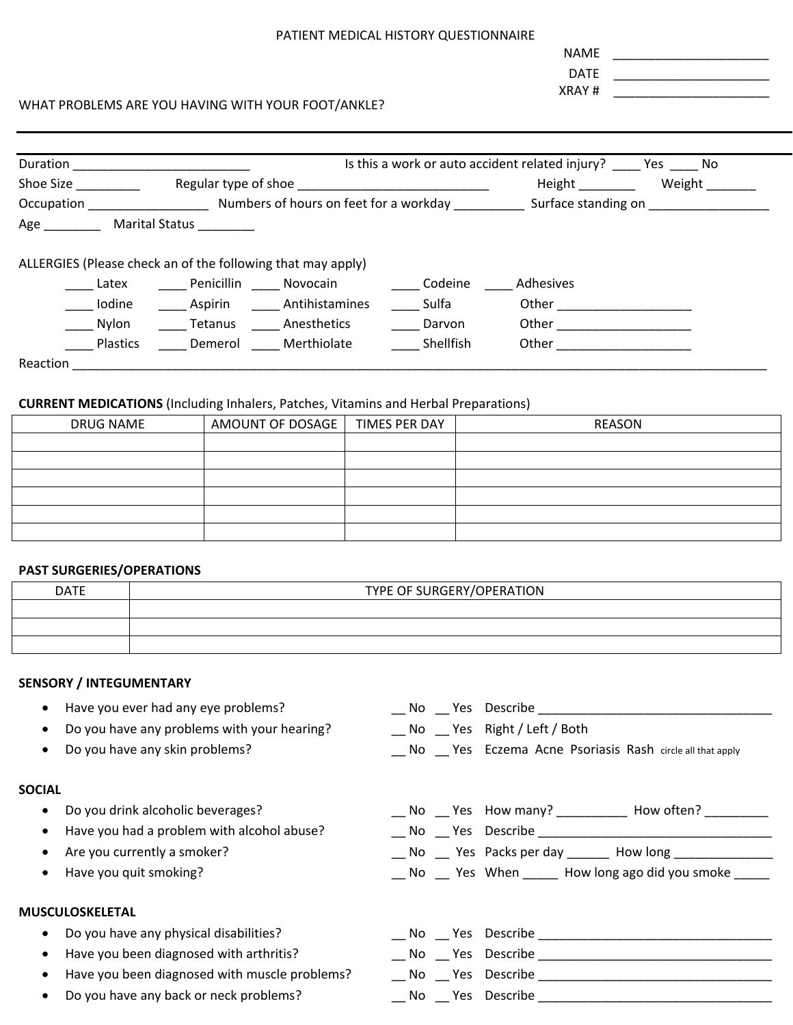| PATIENT MEDICAL HISTORY QUESTIONNAIRE              |             |  |
|----------------------------------------------------|-------------|--|
|                                                    | <b>NAME</b> |  |
|                                                    | <b>DATE</b> |  |
|                                                    | XRAY#       |  |
| WHAT PROBLEMS ARE YOU HAVING WITH YOUR FOOT/ANKLE? |             |  |

| Duration                                             |                                                             |           | Is this a work or auto accident related injury? | Yes No |
|------------------------------------------------------|-------------------------------------------------------------|-----------|-------------------------------------------------|--------|
| Shoe Size                                            | Regular type of shoe                                        |           | <b>Height Example</b>                           | Weight |
| Numbers of hours on feet for a workday<br>Occupation |                                                             |           | Surface standing on                             |        |
| Age                                                  | Marital Status                                              |           |                                                 |        |
|                                                      | ALLERGIES (Please check an of the following that may apply) |           |                                                 |        |
| Latex                                                | Penicillin<br>Novocain                                      | Codeine   | Adhesives                                       |        |
| Iodine                                               | Aspirin<br>Antihistamines                                   | Sulfa     | Other                                           |        |
| Nvlon                                                | Anesthetics<br>Tetanus                                      | Darvon    | Other                                           |        |
| Plastics                                             | Merthiolate<br>Demerol                                      | Shellfish | Other                                           |        |

**CURRENT MEDICATIONS** (Including Inhalers, Patches, Vitamins and Herbal Preparations)

| <b>DRUG NAME</b> | AMOUNT OF DOSAGE | TIMES PER DAY | REASON |
|------------------|------------------|---------------|--------|
|                  |                  |               |        |
|                  |                  |               |        |
|                  |                  |               |        |
|                  |                  |               |        |
|                  |                  |               |        |
|                  |                  |               |        |

Reaction \_\_\_\_\_\_\_\_\_\_\_\_\_\_\_\_\_\_\_\_\_\_\_\_\_\_\_\_\_\_\_\_\_\_\_\_\_\_\_\_\_\_\_\_\_\_\_\_\_\_\_\_\_\_\_\_\_\_\_\_\_\_\_\_\_\_\_\_\_\_\_\_\_\_\_\_\_\_\_\_\_\_\_\_\_\_\_\_\_\_\_\_\_\_\_\_\_\_

#### **PAST SURGERIES/OPERATIONS**

| <b>DATE</b> | TYPE OF SURGERY/OPERATION |  |  |
|-------------|---------------------------|--|--|
|             |                           |  |  |
|             |                           |  |  |
|             |                           |  |  |

#### **SENSORY / INTEGUMENTARY**

- Have you ever had any eye problems? \_\_ No \_\_ Yes Describe \_\_\_\_\_\_\_\_\_\_\_\_\_\_\_\_\_\_\_\_\_\_\_\_\_\_\_\_\_\_\_\_\_
- Do you have any problems with your hearing?  $\qquad \qquad \blacksquare$  No  $\qquad \qquad$  Yes Right / Left / Both
- 

## **SOCIAL**

- 
- Have you had a problem with alcohol abuse? \_\_\_ No \_\_ Yes Describe \_\_\_\_\_\_\_\_\_\_\_
- 
- 

## **MUSCULOSKELETAL**

- Do you have any physical disabilities?
- Have you been diagnosed with arthritis?
- Have you been diagnosed with muscle problems?
- Do you have any back or neck problems?

- Do you have any skin problems? <br>
No Yes Eczema Acne Psoriasis Rash circle all that apply
- Do you drink alcoholic beverages? \_\_ No \_\_ Yes How many? \_\_\_\_\_\_\_\_\_\_ How often? \_\_\_\_\_\_\_\_\_

- Are you currently a smoker?  $\qquad \qquad \qquad \qquad \qquad \blacksquare$  No  $\qquad \qquad$  Yes Packs per day  $\qquad \qquad \qquad \qquad$  How long  $\qquad \qquad \qquad \qquad \qquad \qquad \qquad \qquad \qquad \qquad \blacksquare$
- Have you quit smoking?  $\qquad \qquad \qquad \qquad \qquad \qquad \qquad \qquad \qquad \text{No} \qquad \qquad \text{Yes}$  When  $\qquad \qquad \qquad \qquad \text{How long ago did you smoke} \qquad \qquad \qquad \qquad \text{but the same time.}$

|  | No Yes Describe |  |
|--|-----------------|--|
|  | No Yes Describe |  |
|  | No Yes Describe |  |
|  | No Yes Describe |  |
|  |                 |  |